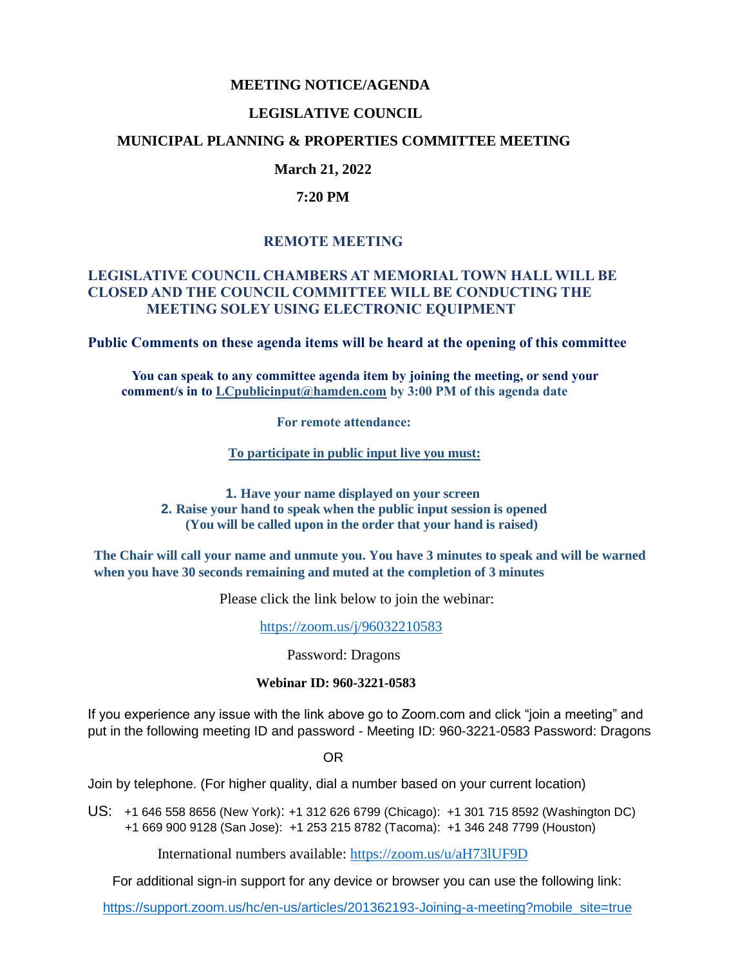#### **MEETING NOTICE/AGENDA**

### **LEGISLATIVE COUNCIL**

### **MUNICIPAL PLANNING & PROPERTIES COMMITTEE MEETING**

# **March 21, 2022**

#### **7:20 PM**

# **REMOTE MEETING**

## **LEGISLATIVE COUNCIL CHAMBERS AT MEMORIAL TOWN HALL WILL BE CLOSED AND THE COUNCIL COMMITTEE WILL BE CONDUCTING THE MEETING SOLEY USING ELECTRONIC EQUIPMENT**

**Public Comments on these agenda items will be heard at the opening of this committee** 

 **You can speak to any committee agenda item by joining the meeting, or send your comment/s in to [LCpublicinput@hamden.com](mailto:LCpublicinput@hamden.com) by 3:00 PM of this agenda date**

 **For remote attendance:**

**To participate in public input live you must:**

**1. Have your name displayed on your screen 2. Raise your hand to speak when the public input session is opened (You will be called upon in the order that your hand is raised)**

**The Chair will call your name and unmute you. You have 3 minutes to speak and will be warned when you have 30 seconds remaining and muted at the completion of 3 minutes**

Please click the link below to join the webinar:

<https://zoom.us/j/96032210583>

Password: Dragons

#### **Webinar ID: 960-3221-0583**

If you experience any issue with the link above go to Zoom.com and click "join a meeting" and put in the following meeting ID and password - Meeting ID: 960-3221-0583 Password: Dragons

OR

Join by telephone. (For higher quality, dial a number based on your current location)

US: [+1 646 558 8656 \(New York\)](tel:+16465588656): [+1 312 626 6799 \(Chicago\):](tel:+13126266799) [+1 301 715 8592 \(Washington DC\)](tel:+13017158592) +1 669 900 9128 (San Jose): [+1 253 215 8782 \(Tacoma\):](tel:+12532158782) [+1 346 248 7799 \(Houston\)](tel:+13462487799)

International numbers available:<https://zoom.us/u/aH73lUF9D>

For additional sign-in support for any device or browser you can use the following link:

[https://support.zoom.us/hc/en-us/articles/201362193-Joining-a-meeting?mobile\\_site=true](https://support.zoom.us/hc/en-us/articles/201362193-Joining-a-meeting?mobile_site=true)